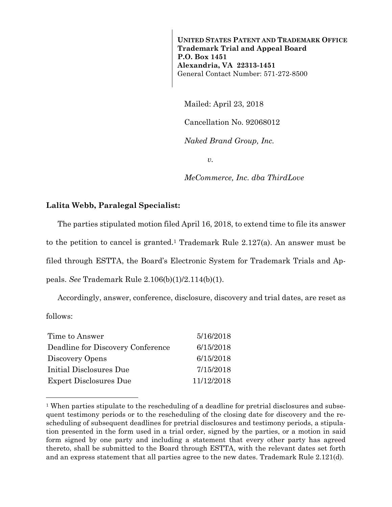**UNITED STATES PATENT AND TRADEMARK OFFICE Trademark Trial and Appeal Board P.O. Box 1451 Alexandria, VA 22313-1451**  General Contact Number: 571-272-8500

Mailed: April 23, 2018

Cancellation No. 92068012

*Naked Brand Group, Inc.* 

 $v<sub>r</sub>$ 

*MeCommerce, Inc. dba ThirdLove* 

## **Lalita Webb, Paralegal Specialist:**

The parties stipulated motion filed April 16, 2018, to extend time to file its answer to the petition to cancel is granted.1 Trademark Rule 2.127(a). An answer must be filed through ESTTA, the Board's Electronic System for Trademark Trials and Appeals. *See* Trademark Rule 2.106(b)(1)/2.114(b)(1).

Accordingly, answer, conference, disclosure, discovery and trial dates, are reset as follows:

| Time to Answer                    | 5/16/2018  |
|-----------------------------------|------------|
| Deadline for Discovery Conference | 6/15/2018  |
| Discovery Opens                   | 6/15/2018  |
| Initial Disclosures Due           | 7/15/2018  |
| <b>Expert Disclosures Due</b>     | 11/12/2018 |

—<br>—

<sup>&</sup>lt;sup>1</sup> When parties stipulate to the rescheduling of a deadline for pretrial disclosures and subsequent testimony periods or to the rescheduling of the closing date for discovery and the rescheduling of subsequent deadlines for pretrial disclosures and testimony periods, a stipulation presented in the form used in a trial order, signed by the parties, or a motion in said form signed by one party and including a statement that every other party has agreed thereto, shall be submitted to the Board through ESTTA, with the relevant dates set forth and an express statement that all parties agree to the new dates. Trademark Rule 2.121(d).